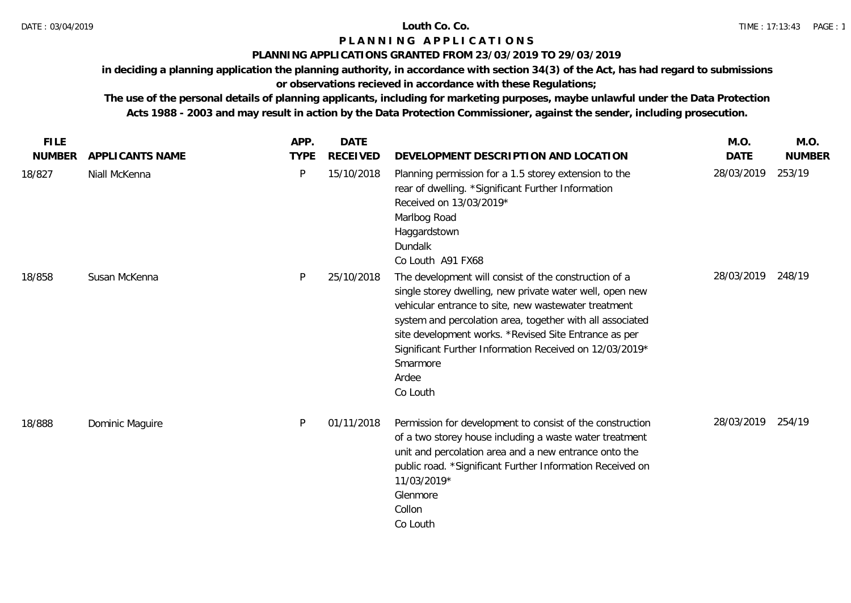## **PLANNING APPLICATIONS GRANTED FROM 23/03/2019 TO 29/03/2019**

**in deciding a planning application the planning authority, in accordance with section 34(3) of the Act, has had regard to submissions** 

# **or observations recieved in accordance with these Regulations;**

| <b>FILE</b>   |                        | APP.        | <b>DATE</b>     |                                                                                                                                                                                                                                                                                                                                                                                             | M.O.        | M.O.          |
|---------------|------------------------|-------------|-----------------|---------------------------------------------------------------------------------------------------------------------------------------------------------------------------------------------------------------------------------------------------------------------------------------------------------------------------------------------------------------------------------------------|-------------|---------------|
| <b>NUMBER</b> | <b>APPLICANTS NAME</b> | <b>TYPE</b> | <b>RECEIVED</b> | DEVELOPMENT DESCRIPTION AND LOCATION                                                                                                                                                                                                                                                                                                                                                        | <b>DATE</b> | <b>NUMBER</b> |
| 18/827        | Niall McKenna          | P           | 15/10/2018      | Planning permission for a 1.5 storey extension to the<br>rear of dwelling. * Significant Further Information<br>Received on 13/03/2019*<br>Marlbog Road<br>Haggardstown<br>Dundalk<br>Co Louth A91 FX68                                                                                                                                                                                     | 28/03/2019  | 253/19        |
| 18/858        | Susan McKenna          | P           | 25/10/2018      | The development will consist of the construction of a<br>single storey dwelling, new private water well, open new<br>vehicular entrance to site, new wastewater treatment<br>system and percolation area, together with all associated<br>site development works. *Revised Site Entrance as per<br>Significant Further Information Received on 12/03/2019*<br>Smarmore<br>Ardee<br>Co Louth | 28/03/2019  | 248/19        |
| 18/888        | Dominic Maguire        | P           | 01/11/2018      | Permission for development to consist of the construction<br>of a two storey house including a waste water treatment<br>unit and percolation area and a new entrance onto the<br>public road. *Significant Further Information Received on<br>11/03/2019*<br>Glenmore<br>Collon<br>Co Louth                                                                                                 | 28/03/2019  | 254/19        |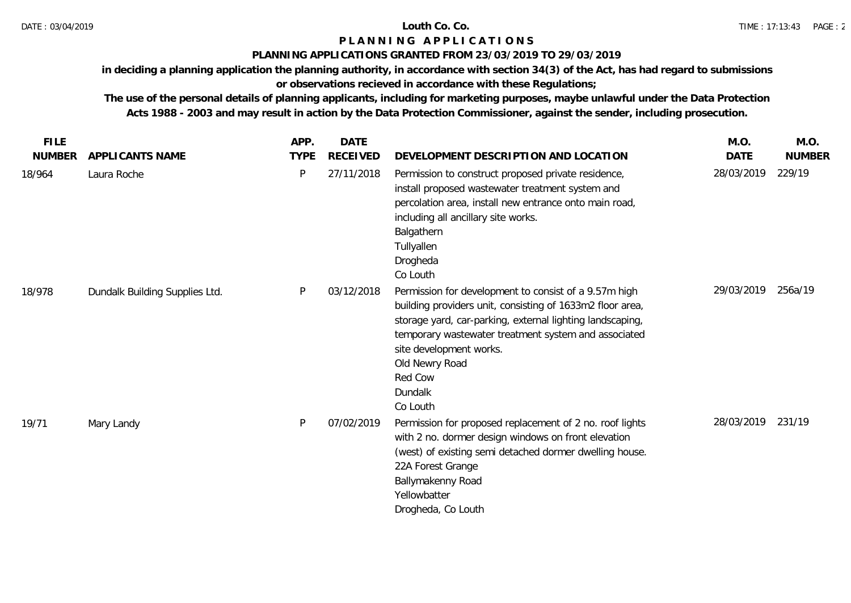## **PLANNING APPLICATIONS GRANTED FROM 23/03/2019 TO 29/03/2019**

**in deciding a planning application the planning authority, in accordance with section 34(3) of the Act, has had regard to submissions** 

# **or observations recieved in accordance with these Regulations;**

| <b>FILE</b>   |                                | APP.        | <b>DATE</b>     |                                                                                                                                                                                                                                                                                                                        | M.O.        | M.O.          |
|---------------|--------------------------------|-------------|-----------------|------------------------------------------------------------------------------------------------------------------------------------------------------------------------------------------------------------------------------------------------------------------------------------------------------------------------|-------------|---------------|
| <b>NUMBER</b> | APPLICANTS NAME                | <b>TYPE</b> | <b>RECEIVED</b> | DEVELOPMENT DESCRIPTION AND LOCATION                                                                                                                                                                                                                                                                                   | <b>DATE</b> | <b>NUMBER</b> |
| 18/964        | Laura Roche                    | P           | 27/11/2018      | Permission to construct proposed private residence,<br>install proposed wastewater treatment system and<br>percolation area, install new entrance onto main road,<br>including all ancillary site works.<br>Balgathern<br>Tullyallen<br>Drogheda<br>Co Louth                                                           | 28/03/2019  | 229/19        |
| 18/978        | Dundalk Building Supplies Ltd. | P           | 03/12/2018      | Permission for development to consist of a 9.57m high<br>building providers unit, consisting of 1633m2 floor area,<br>storage yard, car-parking, external lighting landscaping,<br>temporary wastewater treatment system and associated<br>site development works.<br>Old Newry Road<br>Red Cow<br>Dundalk<br>Co Louth | 29/03/2019  | 256a/19       |
| 19/71         | Mary Landy                     | P           | 07/02/2019      | Permission for proposed replacement of 2 no. roof lights<br>with 2 no. dormer design windows on front elevation<br>(west) of existing semi detached dormer dwelling house.<br>22A Forest Grange<br>Ballymakenny Road<br>Yellowbatter<br>Drogheda, Co Louth                                                             | 28/03/2019  | 231/19        |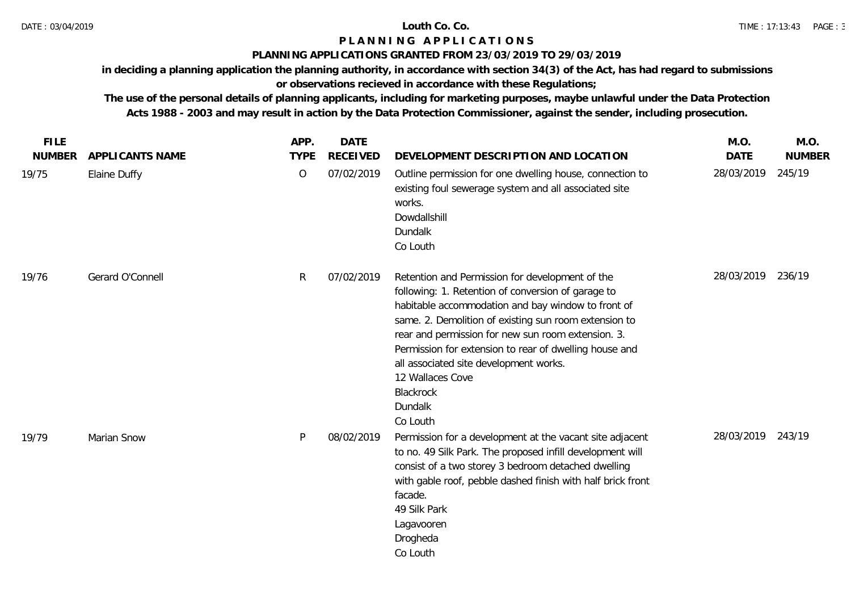## **PLANNING APPLICATIONS GRANTED FROM 23/03/2019 TO 29/03/2019**

**in deciding a planning application the planning authority, in accordance with section 34(3) of the Act, has had regard to submissions** 

# **or observations recieved in accordance with these Regulations;**

| <b>FILE</b>   |                  | APP.         | <b>DATE</b>     |                                                                                                                                                                                                                                                                                                                                                                                                                                        | M.O.              | M.O.          |
|---------------|------------------|--------------|-----------------|----------------------------------------------------------------------------------------------------------------------------------------------------------------------------------------------------------------------------------------------------------------------------------------------------------------------------------------------------------------------------------------------------------------------------------------|-------------------|---------------|
| <b>NUMBER</b> | APPLICANTS NAME  | <b>TYPE</b>  | <b>RECEIVED</b> | DEVELOPMENT DESCRIPTION AND LOCATION                                                                                                                                                                                                                                                                                                                                                                                                   | <b>DATE</b>       | <b>NUMBER</b> |
| 19/75         | Elaine Duffy     | $\circ$      | 07/02/2019      | Outline permission for one dwelling house, connection to<br>existing foul sewerage system and all associated site<br>works.<br>Dowdallshill<br>Dundalk<br>Co Louth                                                                                                                                                                                                                                                                     | 28/03/2019        | 245/19        |
| 19/76         | Gerard O'Connell | $\mathsf{R}$ | 07/02/2019      | Retention and Permission for development of the<br>following: 1. Retention of conversion of garage to<br>habitable accommodation and bay window to front of<br>same. 2. Demolition of existing sun room extension to<br>rear and permission for new sun room extension. 3.<br>Permission for extension to rear of dwelling house and<br>all associated site development works.<br>12 Wallaces Cove<br>Blackrock<br>Dundalk<br>Co Louth | 28/03/2019        | 236/19        |
| 19/79         | Marian Snow      | P            | 08/02/2019      | Permission for a development at the vacant site adjacent<br>to no. 49 Silk Park. The proposed infill development will<br>consist of a two storey 3 bedroom detached dwelling<br>with gable roof, pebble dashed finish with half brick front<br>facade.<br>49 Silk Park<br>Lagavooren<br>Drogheda<br>Co Louth                                                                                                                           | 28/03/2019 243/19 |               |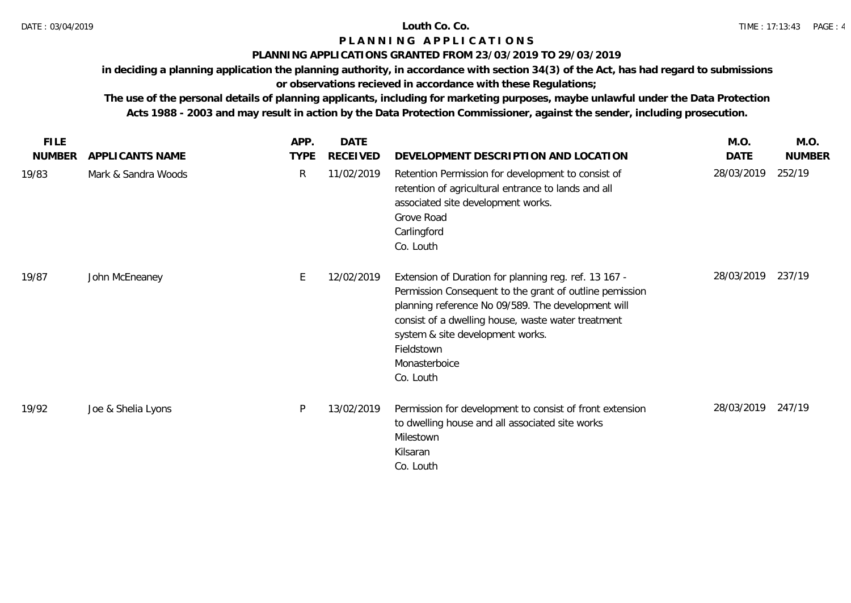## **PLANNING APPLICATIONS GRANTED FROM 23/03/2019 TO 29/03/2019**

**in deciding a planning application the planning authority, in accordance with section 34(3) of the Act, has had regard to submissions** 

# **or observations recieved in accordance with these Regulations;**

| <b>FILE</b>   |                     | APP.        | <b>DATE</b>     |                                                                                                                                                                                                                                                                                                              | M.O.       | M.O.          |
|---------------|---------------------|-------------|-----------------|--------------------------------------------------------------------------------------------------------------------------------------------------------------------------------------------------------------------------------------------------------------------------------------------------------------|------------|---------------|
| <b>NUMBER</b> | APPLICANTS NAME     | <b>TYPE</b> | <b>RECEIVED</b> | DEVELOPMENT DESCRIPTION AND LOCATION                                                                                                                                                                                                                                                                         | DATE       | <b>NUMBER</b> |
| 19/83         | Mark & Sandra Woods | R           | 11/02/2019      | Retention Permission for development to consist of<br>retention of agricultural entrance to lands and all<br>associated site development works.<br>Grove Road<br>Carlingford<br>Co. Louth                                                                                                                    | 28/03/2019 | 252/19        |
| 19/87         | John McEneaney      | E.          | 12/02/2019      | Extension of Duration for planning reg. ref. 13 167 -<br>Permission Consequent to the grant of outline pemission<br>planning reference No 09/589. The development will<br>consist of a dwelling house, waste water treatment<br>system & site development works.<br>Fieldstown<br>Monasterboice<br>Co. Louth | 28/03/2019 | 237/19        |
| 19/92         | Joe & Shelia Lyons  | P           | 13/02/2019      | Permission for development to consist of front extension<br>to dwelling house and all associated site works<br>Milestown<br>Kilsaran<br>Co. Louth                                                                                                                                                            | 28/03/2019 | 247/19        |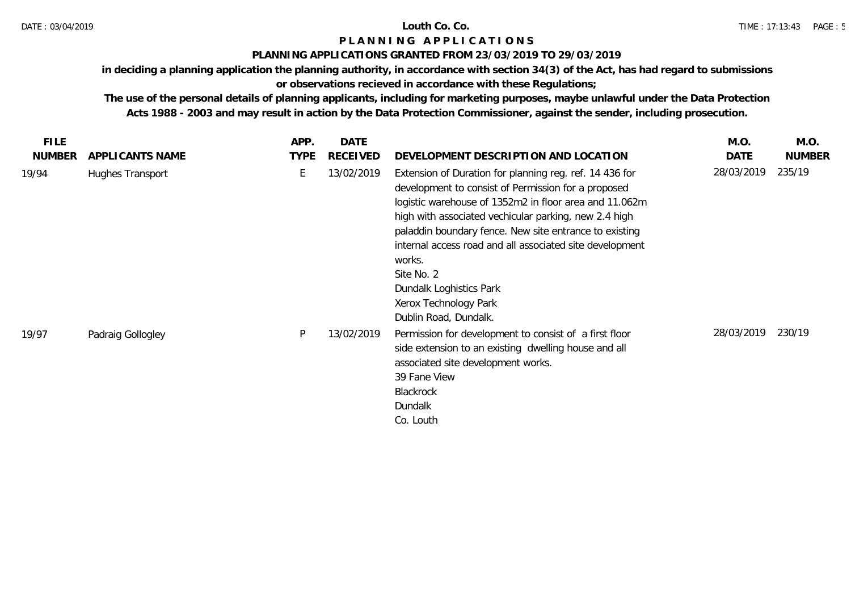## **PLANNING APPLICATIONS GRANTED FROM 23/03/2019 TO 29/03/2019**

**in deciding a planning application the planning authority, in accordance with section 34(3) of the Act, has had regard to submissions** 

# **or observations recieved in accordance with these Regulations;**

| <b>FILE</b>   |                   | APP.        | <b>DATE</b> |                                                                                                                                                                                                                                                                                                                                                                                                                                                              | M.O.       | M.O.          |
|---------------|-------------------|-------------|-------------|--------------------------------------------------------------------------------------------------------------------------------------------------------------------------------------------------------------------------------------------------------------------------------------------------------------------------------------------------------------------------------------------------------------------------------------------------------------|------------|---------------|
| <b>NUMBER</b> | APPLICANTS NAME   | <b>TYPE</b> | RECEIVED    | DEVELOPMENT DESCRIPTION AND LOCATION                                                                                                                                                                                                                                                                                                                                                                                                                         | DATE       | <b>NUMBER</b> |
| 19/94         | Hughes Transport  |             | 13/02/2019  | Extension of Duration for planning reg. ref. 14 436 for<br>development to consist of Permission for a proposed<br>logistic warehouse of 1352m2 in floor area and 11.062m<br>high with associated vechicular parking, new 2.4 high<br>paladdin boundary fence. New site entrance to existing<br>internal access road and all associated site development<br>works.<br>Site No. 2<br>Dundalk Loghistics Park<br>Xerox Technology Park<br>Dublin Road, Dundalk. | 28/03/2019 | 235/19        |
| 19/97         | Padraig Gollogley | P           | 13/02/2019  | Permission for development to consist of a first floor<br>side extension to an existing dwelling house and all<br>associated site development works.<br>39 Fane View<br>Blackrock<br>Dundalk<br>Co. Louth                                                                                                                                                                                                                                                    | 28/03/2019 | 230/19        |